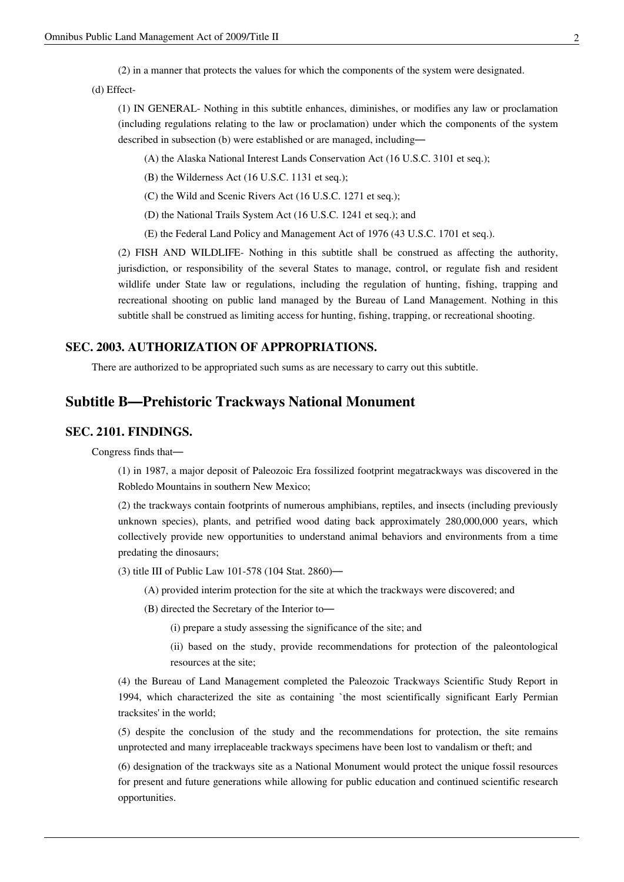(2) in a manner that protects the values for which the components of the system were designated.

(d) Effect-

(1) IN GENERAL- Nothing in this subtitle enhances, diminishes, or modifies any law or proclamation (including regulations relating to the law or proclamation) under which the components of the system described in subsection (b) were established or are managed, including—

(A) the [Alaska National Interest Lands Conservation Act](http://en.wikisource.org/w/index.php?title=Alaska_National_Interest_Lands_Conservation_Act) (16 U.S.C. 3101 et seq.);

(B) the [Wilderness Act \(](http://en.wikisource.org/w/index.php?title=Wilderness_Act)16 U.S.C. 1131 et seq.);

(C) the [Wild and Scenic Rivers Act](http://en.wikisource.org/w/index.php?title=Wild_and_Scenic_Rivers_Act) (16 U.S.C. 1271 et seq.);

(D) the [National Trails System Act](http://en.wikisource.org/w/index.php?title=National_Trails_System_Act) (16 U.S.C. 1241 et seq.); and

(E) the [Federal Land Policy and Management Act of 1976](http://en.wikisource.org/w/index.php?title=Federal_Land_Policy_and_Management_Act_of_1976) (43 U.S.C. 1701 et seq.).

(2) FISH AND WILDLIFE- Nothing in this subtitle shall be construed as affecting the authority, jurisdiction, or responsibility of the several States to manage, control, or regulate fish and resident wildlife under State law or regulations, including the regulation of hunting, fishing, trapping and recreational shooting on public land managed by the Bureau of Land Management. Nothing in this subtitle shall be construed as limiting access for hunting, fishing, trapping, or recreational shooting.

#### **SEC. 2003. AUTHORIZATION OF APPROPRIATIONS.**

There are authorized to be appropriated such sums as are necessary to carry out this subtitle.

# **Subtitle B—Prehistoric Trackways National Monument**

#### **SEC. 2101. FINDINGS.**

Congress finds that—

(1) in 1987, a major deposit of Paleozoic Era fossilized footprint megatrackways was discovered in the Robledo Mountains in southern New Mexico;

(2) the trackways contain footprints of numerous amphibians, reptiles, and insects (including previously unknown species), plants, and petrified wood dating back approximately 280,000,000 years, which collectively provide new opportunities to understand animal behaviors and environments from a time predating the dinosaurs;

(3) title III of [Public Law 101-578](http://en.wikisource.org/w/index.php?title=Public_Law_101-578) (104 Stat. 2860)—

(A) provided interim protection for the site at which the trackways were discovered; and

(B) directed the Secretary of the Interior to—

(i) prepare a study assessing the significance of the site; and

(ii) based on the study, provide recommendations for protection of the paleontological resources at the site;

(4) the Bureau of Land Management completed the Paleozoic Trackways Scientific Study Report in 1994, which characterized the site as containing `the most scientifically significant Early Permian tracksites' in the world;

(5) despite the conclusion of the study and the recommendations for protection, the site remains unprotected and many irreplaceable trackways specimens have been lost to vandalism or theft; and

(6) designation of the trackways site as a National Monument would protect the unique fossil resources for present and future generations while allowing for public education and continued scientific research opportunities.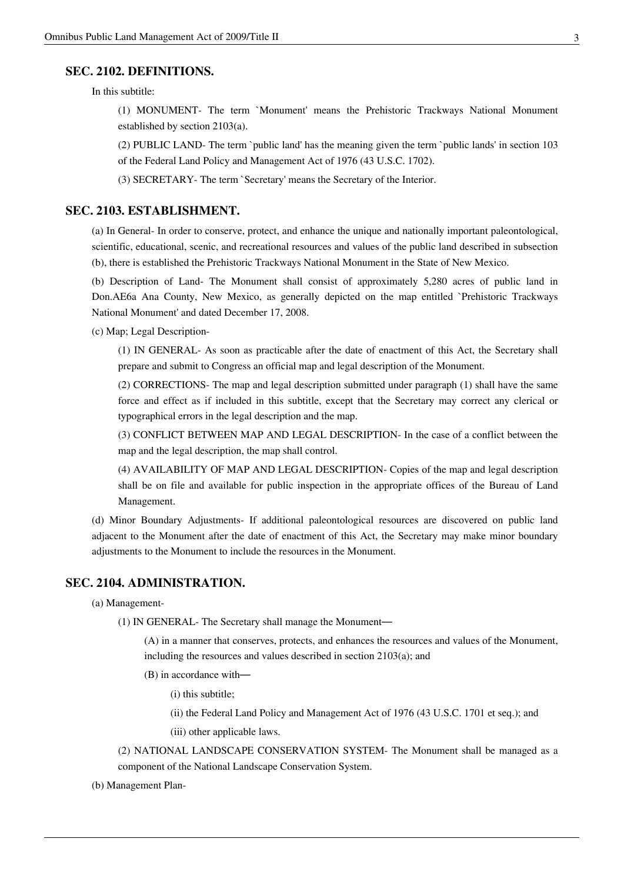#### **SEC. 2102. DEFINITIONS.**

In this subtitle:

(1) MONUMENT- The term `Monument' means the Prehistoric Trackways National Monument established by section 2103(a).

(2) PUBLIC LAND- The term `public land' has the meaning given the term `public lands' in section 103 of the [Federal Land Policy and Management Act of 1976 \(](http://en.wikisource.org/w/index.php?title=Federal_Land_Policy_and_Management_Act_of_1976)43 U.S.C. 1702).

(3) SECRETARY- The term `Secretary' means the Secretary of the Interior.

#### **SEC. 2103. ESTABLISHMENT.**

(a) In General- In order to conserve, protect, and enhance the unique and nationally important paleontological, scientific, educational, scenic, and recreational resources and values of the public land described in subsection (b), there is established the Prehistoric Trackways National Monument in the State of New Mexico.

(b) Description of Land- The Monument shall consist of approximately 5,280 acres of public land in Don.AE6a Ana County, New Mexico, as generally depicted on the map entitled `Prehistoric Trackways National Monument' and dated December 17, 2008.

(c) Map; Legal Description-

(1) IN GENERAL- As soon as practicable after the date of enactment of this Act, the Secretary shall prepare and submit to Congress an official map and legal description of the Monument.

(2) CORRECTIONS- The map and legal description submitted under paragraph (1) shall have the same force and effect as if included in this subtitle, except that the Secretary may correct any clerical or typographical errors in the legal description and the map.

(3) CONFLICT BETWEEN MAP AND LEGAL DESCRIPTION- In the case of a conflict between the map and the legal description, the map shall control.

(4) AVAILABILITY OF MAP AND LEGAL DESCRIPTION- Copies of the map and legal description shall be on file and available for public inspection in the appropriate offices of the Bureau of Land Management.

(d) Minor Boundary Adjustments- If additional paleontological resources are discovered on public land adjacent to the Monument after the date of enactment of this Act, the Secretary may make minor boundary adjustments to the Monument to include the resources in the Monument.

#### **SEC. 2104. ADMINISTRATION.**

(a) Management-

(1) IN GENERAL- The Secretary shall manage the Monument—

(A) in a manner that conserves, protects, and enhances the resources and values of the Monument, including the resources and values described in section 2103(a); and

(B) in accordance with—

(i) this subtitle;

(ii) the [Federal Land Policy and Management Act of 1976 \(](http://en.wikisource.org/w/index.php?title=Federal_Land_Policy_and_Management_Act_of_1976)43 U.S.C. 1701 et seq.); and

(iii) other applicable laws.

(2) NATIONAL LANDSCAPE CONSERVATION SYSTEM- The Monument shall be managed as a component of the National Landscape Conservation System.

(b) Management Plan-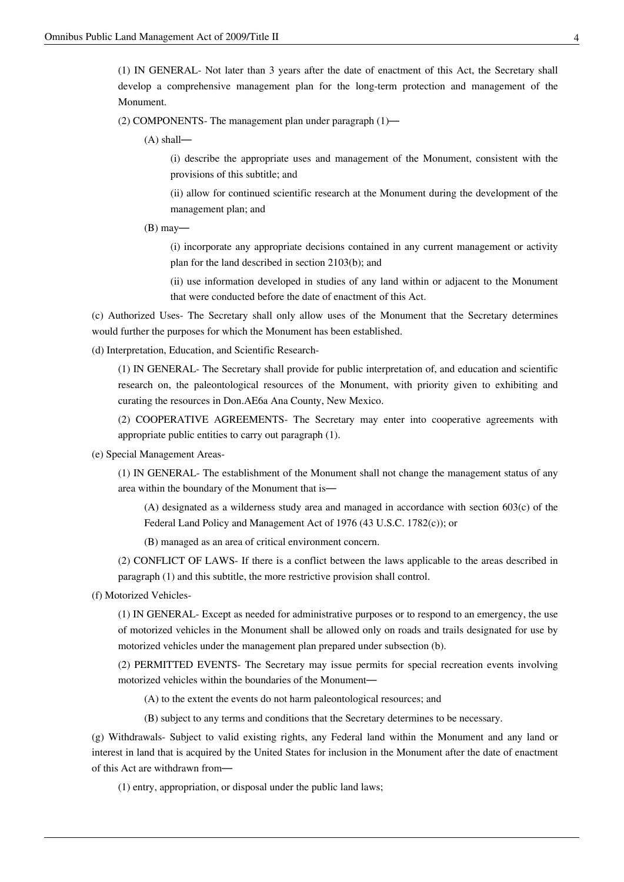(1) IN GENERAL- Not later than 3 years after the date of enactment of this Act, the Secretary shall develop a comprehensive management plan for the long-term protection and management of the Monument.

(2) COMPONENTS- The management plan under paragraph  $(1)$ —

(A) shall—

(i) describe the appropriate uses and management of the Monument, consistent with the provisions of this subtitle; and

(ii) allow for continued scientific research at the Monument during the development of the management plan; and

 $(B)$  may—

(i) incorporate any appropriate decisions contained in any current management or activity plan for the land described in section 2103(b); and

(ii) use information developed in studies of any land within or adjacent to the Monument that were conducted before the date of enactment of this Act.

(c) Authorized Uses- The Secretary shall only allow uses of the Monument that the Secretary determines would further the purposes for which the Monument has been established.

(d) Interpretation, Education, and Scientific Research-

(1) IN GENERAL- The Secretary shall provide for public interpretation of, and education and scientific research on, the paleontological resources of the Monument, with priority given to exhibiting and curating the resources in Don.AE6a Ana County, New Mexico.

(2) COOPERATIVE AGREEMENTS- The Secretary may enter into cooperative agreements with appropriate public entities to carry out paragraph (1).

(e) Special Management Areas-

(1) IN GENERAL- The establishment of the Monument shall not change the management status of any area within the boundary of the Monument that is—

(A) designated as a wilderness study area and managed in accordance with section 603(c) of the [Federal Land Policy and Management Act of 1976](http://en.wikisource.org/w/index.php?title=Federal_Land_Policy_and_Management_Act_of_1976) (43 U.S.C. 1782(c)); or

(B) managed as an area of critical environment concern.

(2) CONFLICT OF LAWS- If there is a conflict between the laws applicable to the areas described in paragraph (1) and this subtitle, the more restrictive provision shall control.

(f) Motorized Vehicles-

(1) IN GENERAL- Except as needed for administrative purposes or to respond to an emergency, the use of motorized vehicles in the Monument shall be allowed only on roads and trails designated for use by motorized vehicles under the management plan prepared under subsection (b).

(2) PERMITTED EVENTS- The Secretary may issue permits for special recreation events involving motorized vehicles within the boundaries of the Monument—

(A) to the extent the events do not harm paleontological resources; and

(B) subject to any terms and conditions that the Secretary determines to be necessary.

(g) Withdrawals- Subject to valid existing rights, any Federal land within the Monument and any land or interest in land that is acquired by the United States for inclusion in the Monument after the date of enactment of this Act are withdrawn from—

(1) entry, appropriation, or disposal under the public land laws;